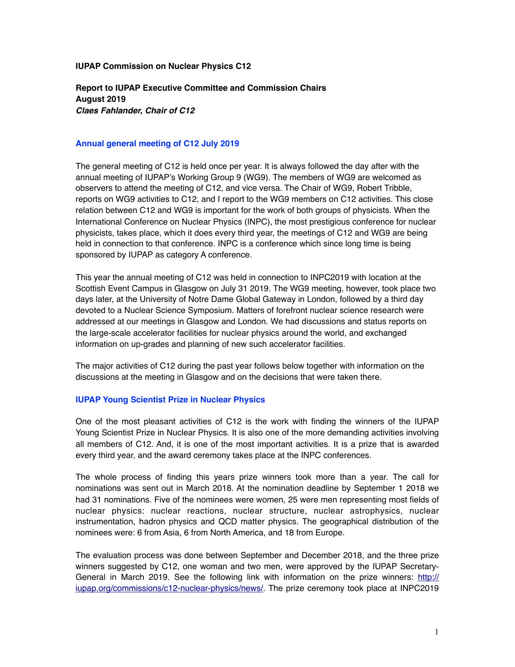# **IUPAP Commission on Nuclear Physics C12**

**Report to IUPAP Executive Committee and Commission Chairs August 2019**  *Claes Fahlander, Chair of C12*

# **Annual general meeting of C12 July 2019**

The general meeting of C12 is held once per year. It is always followed the day after with the annual meeting of IUPAP's Working Group 9 (WG9). The members of WG9 are welcomed as observers to attend the meeting of C12, and vice versa. The Chair of WG9, Robert Tribble, reports on WG9 activities to C12, and I report to the WG9 members on C12 activities. This close relation between C12 and WG9 is important for the work of both groups of physicists. When the International Conference on Nuclear Physics (INPC), the most prestigious conference for nuclear physicists, takes place, which it does every third year, the meetings of C12 and WG9 are being held in connection to that conference. INPC is a conference which since long time is being sponsored by IUPAP as category A conference.

This year the annual meeting of C12 was held in connection to INPC2019 with location at the Scottish Event Campus in Glasgow on July 31 2019. The WG9 meeting, however, took place two days later, at the University of Notre Dame Global Gateway in London, followed by a third day devoted to a Nuclear Science Symposium. Matters of forefront nuclear science research were addressed at our meetings in Glasgow and London. We had discussions and status reports on the large-scale accelerator facilities for nuclear physics around the world, and exchanged information on up-grades and planning of new such accelerator facilities.

The major activities of C12 during the past year follows below together with information on the discussions at the meeting in Glasgow and on the decisions that were taken there.

#### **IUPAP Young Scientist Prize in Nuclear Physics**

One of the most pleasant activities of C12 is the work with finding the winners of the IUPAP Young Scientist Prize in Nuclear Physics. It is also one of the more demanding activities involving all members of C12. And, it is one of the most important activities. It is a prize that is awarded every third year, and the award ceremony takes place at the INPC conferences.

The whole process of finding this years prize winners took more than a year. The call for nominations was sent out in March 2018. At the nomination deadline by September 1 2018 we had 31 nominations. Five of the nominees were women, 25 were men representing most fields of nuclear physics: nuclear reactions, nuclear structure, nuclear astrophysics, nuclear instrumentation, hadron physics and QCD matter physics. The geographical distribution of the nominees were: 6 from Asia, 6 from North America, and 18 from Europe.

The evaluation process was done between September and December 2018, and the three prize winners suggested by C12, one woman and two men, were approved by the IUPAP SecretaryGeneral in March 2019. See the following link with information on the prize winners: [http://](http://iupap.org/commissions/c12-nuclear-physics/news/) [iupap.org/commissions/c12-nuclear-physics/news/.](http://iupap.org/commissions/c12-nuclear-physics/news/) The prize ceremony took place at INPC2019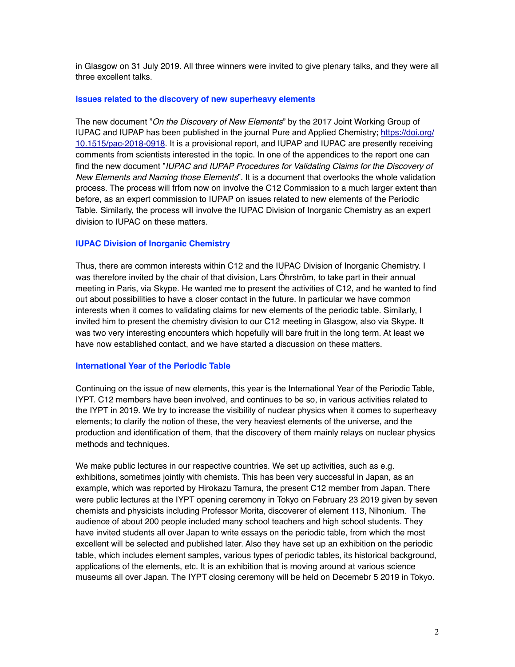in Glasgow on 31 July 2019. All three winners were invited to give plenary talks, and they were all three excellent talks.

#### **Issues related to the discovery of new superheavy elements**

The new document "*On the Discovery of New Elements*" by the 2017 Joint Working Group of IUPAC and IUPAP has been published in the journal Pure and Applied Chemistry; [https://doi.org/](https://doi.org/10.1515/pac-2018-0918) [10.1515/pac-2018-0918](https://doi.org/10.1515/pac-2018-0918). It is a provisional report, and IUPAP and IUPAC are presently receiving comments from scientists interested in the topic. In one of the appendices to the report one can find the new document "*IUPAC and IUPAP Procedures for Validating Claims for the Discovery of New Elements and Naming those Elements*". It is a document that overlooks the whole validation process. The process will frfom now on involve the C12 Commission to a much larger extent than before, as an expert commission to IUPAP on issues related to new elements of the Periodic Table. Similarly, the process will involve the IUPAC Division of Inorganic Chemistry as an expert division to IUPAC on these matters.

# **IUPAC Division of Inorganic Chemistry**

Thus, there are common interests within C12 and the IUPAC Division of Inorganic Chemistry. I was therefore invited by the chair of that division, Lars Öhrström, to take part in their annual meeting in Paris, via Skype. He wanted me to present the activities of C12, and he wanted to find out about possibilities to have a closer contact in the future. In particular we have common interests when it comes to validating claims for new elements of the periodic table. Similarly, I invited him to present the chemistry division to our C12 meeting in Glasgow, also via Skype. It was two very interesting encounters which hopefully will bare fruit in the long term. At least we have now established contact, and we have started a discussion on these matters.

### **International Year of the Periodic Table**

Continuing on the issue of new elements, this year is the International Year of the Periodic Table, IYPT. C12 members have been involved, and continues to be so, in various activities related to the IYPT in 2019. We try to increase the visibility of nuclear physics when it comes to superheavy elements; to clarify the notion of these, the very heaviest elements of the universe, and the production and identification of them, that the discovery of them mainly relays on nuclear physics methods and techniques.

We make public lectures in our respective countries. We set up activities, such as e.g. exhibitions, sometimes jointly with chemists. This has been very successful in Japan, as an example, which was reported by Hirokazu Tamura, the present C12 member from Japan. There were public lectures at the IYPT opening ceremony in Tokyo on February 23 2019 given by seven chemists and physicists including Professor Morita, discoverer of element 113, Nihonium. The audience of about 200 people included many school teachers and high school students. They have invited students all over Japan to write essays on the periodic table, from which the most excellent will be selected and published later. Also they have set up an exhibition on the periodic table, which includes element samples, various types of periodic tables, its historical background, applications of the elements, etc. It is an exhibition that is moving around at various science museums all over Japan. The IYPT closing ceremony will be held on Decemebr 5 2019 in Tokyo.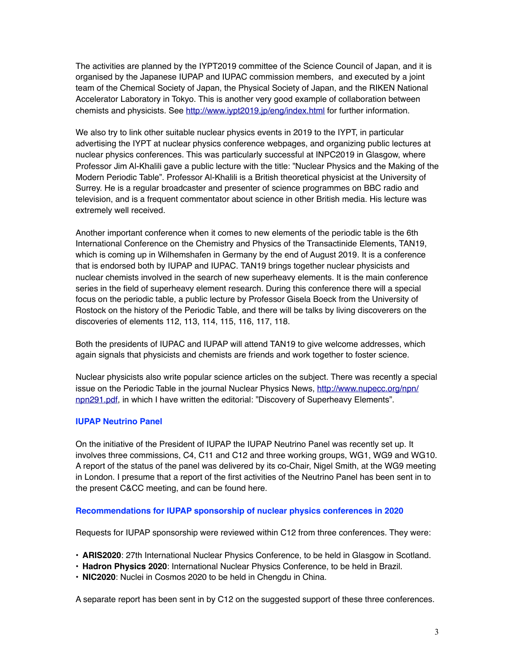The activities are planned by the IYPT2019 committee of the Science Council of Japan, and it is organised by the Japanese IUPAP and IUPAC commission members, and executed by a joint team of the Chemical Society of Japan, the Physical Society of Japan, and the RIKEN National Accelerator Laboratory in Tokyo. This is another very good example of collaboration between chemists and physicists. See<http://www.iypt2019.jp/eng/index.html> for further information.

We also try to link other suitable nuclear physics events in 2019 to the IYPT, in particular advertising the IYPT at nuclear physics conference webpages, and organizing public lectures at nuclear physics conferences. This was particularly successful at INPC2019 in Glasgow, where Professor Jim Al-Khalili gave a public lecture with the title: "Nuclear Physics and the Making of the Modern Periodic Table". Professor Al-Khalili is a British theoretical physicist at the University of Surrey. He is a regular broadcaster and presenter of science programmes on BBC radio and television, and is a frequent commentator about science in other British media. His lecture was extremely well received.

Another important conference when it comes to new elements of the periodic table is the 6th International Conference on the Chemistry and Physics of the Transactinide Elements, TAN19, which is coming up in Wilhemshafen in Germany by the end of August 2019. It is a conference that is endorsed both by IUPAP and IUPAC. TAN19 brings together nuclear physicists and nuclear chemists involved in the search of new superheavy elements. It is the main conference series in the field of superheavy element research. During this conference there will a special focus on the periodic table, a public lecture by Professor Gisela Boeck from the University of Rostock on the history of the Periodic Table, and there will be talks by living discoverers on the discoveries of elements 112, 113, 114, 115, 116, 117, 118.

Both the presidents of IUPAC and IUPAP will attend TAN19 to give welcome addresses, which again signals that physicists and chemists are friends and work together to foster science.

Nuclear physicists also write popular science articles on the subject. There was recently a special issue on the Periodic Table in the journal Nuclear Physics News, [http://www.nupecc.org/npn/](http://www.nupecc.org/npn/npn291.pdf) [npn291.pdf](http://www.nupecc.org/npn/npn291.pdf), in which I have written the editorial: "Discovery of Superheavy Elements".

# **IUPAP Neutrino Panel**

On the initiative of the President of IUPAP the IUPAP Neutrino Panel was recently set up. It involves three commissions, C4, C11 and C12 and three working groups, WG1, WG9 and WG10. A report of the status of the panel was delivered by its co-Chair, Nigel Smith, at the WG9 meeting in London. I presume that a report of the first activities of the Neutrino Panel has been sent in to the present C&CC meeting, and can be found here.

# **Recommendations for IUPAP sponsorship of nuclear physics conferences in 2020**

Requests for IUPAP sponsorship were reviewed within C12 from three conferences. They were:

- **ARIS2020**: 27th International Nuclear Physics Conference, to be held in Glasgow in Scotland.
- **Hadron Physics 2020**: International Nuclear Physics Conference, to be held in Brazil.
- **NIC2020**: Nuclei in Cosmos 2020 to be held in Chengdu in China.

A separate report has been sent in by C12 on the suggested support of these three conferences.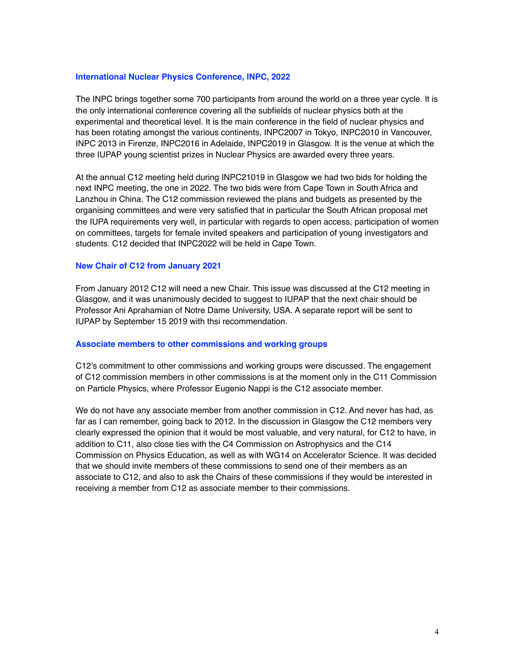# **International Nuclear Physics Conference, INPC, 2022**

The INPC brings together some 700 participants from around the world on a three year cycle. It is the only international conference covering all the subfields of nuclear physics both at the experimental and theoretical level. It is the main conference in the field of nuclear physics and has been rotating amongst the various continents, INPC2007 in Tokyo, INPC2010 in Vancouver, INPC 2013 in Firenze, INPC2016 in Adelaide, INPC2019 in Glasgow. It is the venue at which the three IUPAP young scientist prizes in Nuclear Physics are awarded every three years.

At the annual C12 meeting held during INPC21019 in Glasgow we had two bids for holding the next INPC meeting, the one in 2022. The two bids were from Cape Town in South Africa and Lanzhou in China. The C12 commission reviewed the plans and budgets as presented by the organising committees and were very satisfied that in particular the South African proposal met the IUPA requirements very well, in particular with regards to open access, participation of women on committees, targets for female invited speakers and participation of young investigators and students. C12 decided that INPC2022 will be held in Cape Town.

# **New Chair of C12 from January 2021**

From January 2012 C12 will need a new Chair. This issue was discussed at the C12 meeting in Glasgow, and it was unanimously decided to suggest to IUPAP that the next chair should be Professor Ani Aprahamian of Notre Dame University, USA. A separate report will be sent to IUPAP by September 15 2019 with thsi recommendation.

# **Associate members to other commissions and working groups**

C12's commitment to other commissions and working groups were discussed. The engagement of C12 commission members in other commissions is at the moment only in the C11 Commission on Particle Physics, where Professor Eugenio Nappi is the C12 associate member.

We do not have any associate member from another commission in C12. And never has had, as far as I can remember, going back to 2012. In the discussion in Glasgow the C12 members very clearly expressed the opinion that it would be most valuable, and very natural, for C12 to have, in addition to C11, also close ties with the C4 Commission on Astrophysics and the C14 Commission on Physics Education, as well as with WG14 on Accelerator Science. It was decided that we should invite members of these commissions to send one of their members as an associate to C12, and also to ask the Chairs of these commissions if they would be interested in receiving a member from C12 as associate member to their commissions.